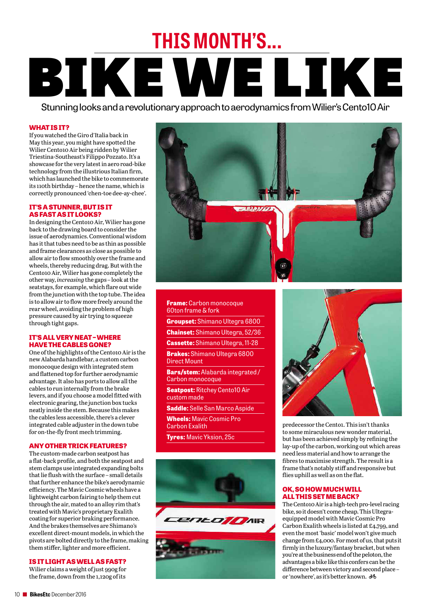# BIKE WE LIKE **THIS MONTH'S...**

StunninglooksandarevolutionaryapproachtoaerodynamicsfromWilier'sCento10Air

# **WHAT IS IT?**

If youwatched the Giro d'Italia back in May this year, you might have spotted the Wilier Cento10 Air being ridden by Wilier Triestina-Southeast's Filippo Pozzato. It's a showcase for the very latest in aero road-bike technology from the illustrious Italian firm, which has launched the bike to commemorate its 110th birthday – hence the name, which is correctly pronounced 'chen-toe dee-ay-chee'.

#### **IT'SASTUNNER, BUT IS IT ASFAST ASITLOOKS?**

In designing the Cento10 Air, Wilier has gone back to the drawing board to consider the issue of aerodynamics. Conventional wisdom has it that tubes need to be as thin as possible and frame clearances as close as possible to allow air toflow smoothly over the frame and wheels, thereby reducing drag. But with the Cento10 Air, Wilier has gone completely the otherway, *increasing* the gaps – look atthe seatstays,for example,which flare out wide from the junction with the top tube. The idea is to allow air to flow more freely around the rearwheel, avoiding the problem of high pressure caused by air trying to squeeze through tight gaps.

### **IT'SALL VERY NEAT–WHERE HAVE THE CABLES GONE?**

One of the highlights of the Cento10 Air is the new Alabarda handlebar, a custom carbon monocoque design with integrated stem and flattened top for further aerodynamic advantage. It also has ports to allow all the cables to run internally from the brake levers, and if you choose a model fitted with electronic gearing, the junction box tucks neatly inside the stem. Because this makes the cables less accessible, there's a clever integrated cable adjuster in the down tube for on-the-fly front mech trimming.

# **ANYOTHER TRICK FEATURES?**

The custom-made carbon seatpost has a flat-back profile, and both the seatpost and stem clamps use integrated expanding bolts that lie flush with the surface – small details that further enhance the bike's aerodynamic efficiency. The Mavic Cosmicwheels have a lightweight carbon fairing to help them cut through the air, mated to an alloy rim that's treated with Mavic's proprietary Exalith coating for superior braking performance. And the brakes themselves are Shimano's excellent direct-mount models, in which the pivots are bolted directly to the frame, making them stiffer, lighter and more efficient.

# **IS IT LIGHTASWELLASFAST?**

Wilier claims aweight of just 990g for the frame, down from the 1,120g of its



#### **Frame:** Carbon monocoque 60ton frame & fork

**Groupset:** Shimano Ultegra 6800

**Chainset:** Shimano Ultegra, 52/36

**Cassette:** Shimano Ultegra, 11-28

**Brakes:** Shimano Ultegra 6800 Direct Mount

**Bars/stem:** Alabarda integrated / Carbon monocoque

**Seatpost:** Ritchey Cento10 Air custom made

**Saddle:** Selle San Marco Aspide

**Wheels:** Mavic Cosmic Pro Carbon Exalith

**Tyres:** Mavic Yksion, 25c





predecessor the Cento<sub>1</sub>. This isn't thanks to some miraculous newwonder material, but has beenachieved simply by refining the lay-up ofthe carbon,working outwhich areas need less material and howto arrange the fibres to maximise strength. The result is a frame that's notably stiff and responsive but flies uphill as well as on the flat.

## **OK, SO HOW MUCH WILL ALL THIS SET ME BACK?**

The Cento10 Air is a high-tech pro-level racing bike, so it doesn't come cheap. ThisUltegraequipped model with Mavic CosmicPro Carbon Exalithwheels is listed at £4,799, and eventhe most 'basic' modelwon't give much change from  $£4,000$ . For most of us, that puts it firmly in the luxury/fantasy bracket, but when you'reatthebusiness end ofthe peloton, the advantages abike like this confers can be the difference between victory and second place – or 'nowhere', as it'sbetter known.